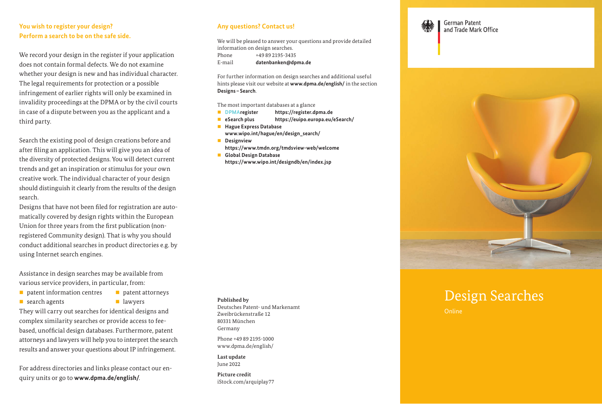# **You wish to register your design? Perform a search to be on the safe side.**

We record your design in the register if your application does not contain formal defects. We do not examine whether your design is new and has individual character. The legal requirements for protection or a possible infringement of earlier rights will only be examined in invalidity proceedings at the DPMA or by the civil courts in case of a dispute between you as the applicant and a third party.

Search the existing pool of design creations before and after filing an application. This will give you an idea of the diversity of protected designs. You will detect current trends and get an inspiration or stimulus for your own creative work. The individual character of your design should distinguish it clearly from the results of the design search.

Designs that have not been filed for registration are automatically covered by design rights within the European Union for three years from the first publication (nonregistered Community design). That is why you should conduct additional searches in product directories e.g. by using Internet search engines.

Assistance in design searches may be available from various service providers, in particular, from:

- $\blacksquare$  patent information centres  $\blacksquare$  patent attorneys
- **Solution agents lawyers**

They will carry out searches for identical designs and complex similarity searches or provide access to feebased, unofficial design databases. Furthermore, patent attorneys and lawyers will help you to interpret the search results and answer your questions about IP infringement.

For address directories and links please contact our enquiry units or go to **[www.dpma.de/english/](https://www.dpma.de/english/)**.

#### **Any questions? Contact us!**

We will be pleased to answer your questions and provide detailed information on design searches. Phone +49 89 2195-3435 E-mail **datenbanken@dpma.de**

For further information on design searches and additional useful hints please visit our website at **[www.dpma.de/english/](https://www.dpma.de/english/)** in the section **[Designs–Search](https://www.dpma.de/english/designs/search/index.html)**.

The most important databases at a glance

- **DPMAregister <https://register.dpma.de>**
- **eSearch plus <https://euipo.europa.eu/eSearch/>**
- **Hague Express Database**
- **[www.wipo.int/hague/en/design\\_search/](http://www.wipo.int/hague/en/design_search/)**
- **Designview <https://www.tmdn.org/tmdsview-web/welcome>**
- **Global Design Database <https://www.wipo.int/designdb/en/index.jsp>**

**Published by**

Deutsches Patent- und Markenamt Zweibrückenstraße 12 80331 München Germany

Phone +49 89 2195-1000 [www.dpma.de/english/](https://www.dpma.de/english/ )

**Last update** June 2022

**Picture credit** iStock.com/arquiplay77



German Patent and Trade Mark Office



# Design Searches

Online